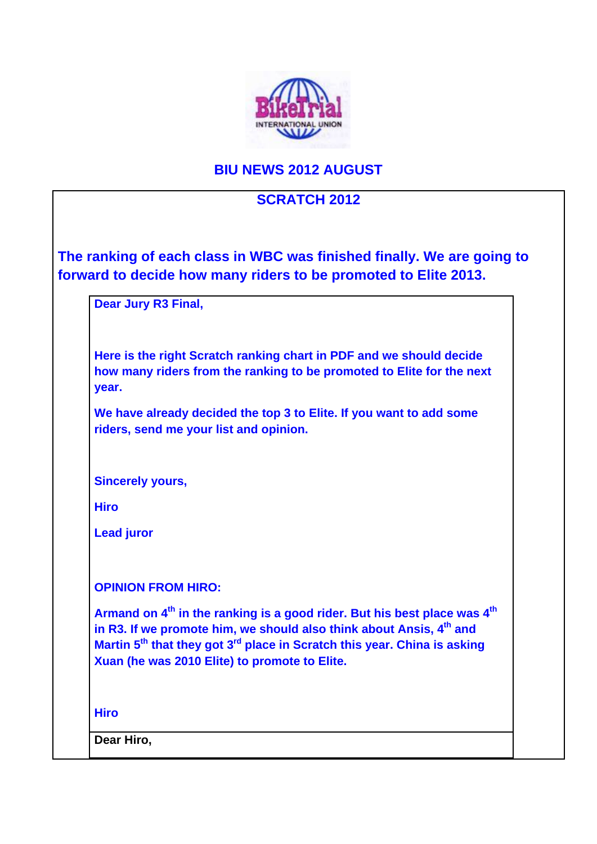

## **BIU NEWS 2012 AUGUST**

## **SCRATCH 2012**

|                   | <b>Dear Jury R3 Final,</b>                                                                                                                                                                                                                                                                                                   |
|-------------------|------------------------------------------------------------------------------------------------------------------------------------------------------------------------------------------------------------------------------------------------------------------------------------------------------------------------------|
| year.             | Here is the right Scratch ranking chart in PDF and we should decide<br>how many riders from the ranking to be promoted to Elite for the next                                                                                                                                                                                 |
|                   | We have already decided the top 3 to Elite. If you want to add some<br>riders, send me your list and opinion.                                                                                                                                                                                                                |
|                   | <b>Sincerely yours,</b>                                                                                                                                                                                                                                                                                                      |
| <b>Hiro</b>       |                                                                                                                                                                                                                                                                                                                              |
| <b>Lead juror</b> |                                                                                                                                                                                                                                                                                                                              |
|                   | <b>OPINION FROM HIRO:</b>                                                                                                                                                                                                                                                                                                    |
|                   | Armand on 4 <sup>th</sup> in the ranking is a good rider. But his best place was 4 <sup>th</sup><br>in R3. If we promote him, we should also think about Ansis, 4th and<br>Martin 5 <sup>th</sup> that they got 3 <sup>rd</sup> place in Scratch this year. China is asking<br>Xuan (he was 2010 Elite) to promote to Elite. |
| <b>Hiro</b>       |                                                                                                                                                                                                                                                                                                                              |